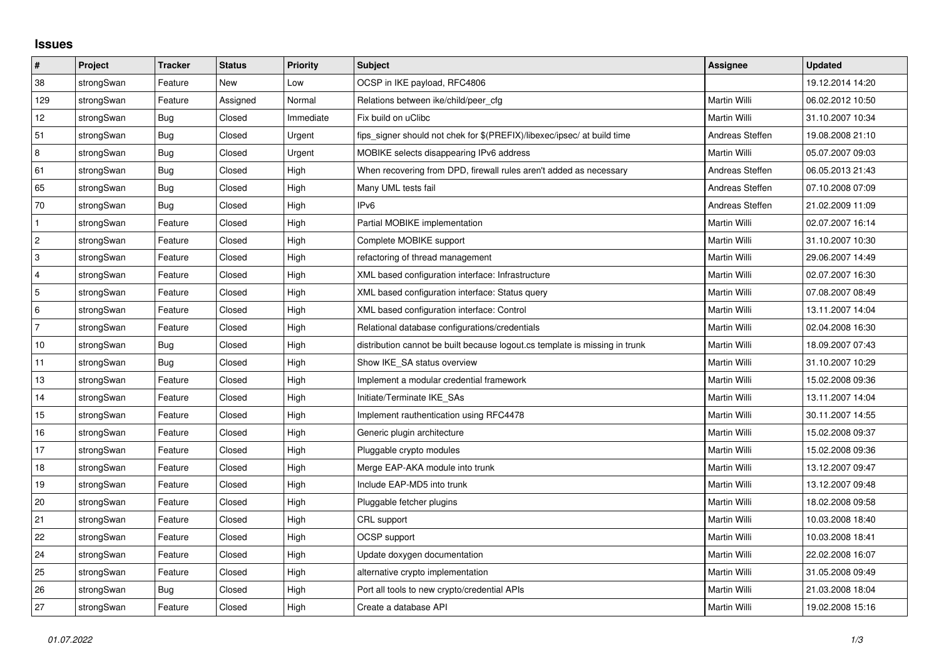## **Issues**

| $\vert$ #      | Project    | <b>Tracker</b> | <b>Status</b> | <b>Priority</b> | <b>Subject</b>                                                              | <b>Assignee</b> | <b>Updated</b>   |
|----------------|------------|----------------|---------------|-----------------|-----------------------------------------------------------------------------|-----------------|------------------|
| 38             | strongSwan | Feature        | <b>New</b>    | Low             | OCSP in IKE payload, RFC4806                                                |                 | 19.12.2014 14:20 |
| 129            | strongSwan | Feature        | Assigned      | Normal          | Relations between ike/child/peer cfg                                        | Martin Willi    | 06.02.2012 10:50 |
| 12             | strongSwan | Bug            | Closed        | Immediate       | Fix build on uClibc                                                         | Martin Willi    | 31.10.2007 10:34 |
| 51             | strongSwan | Bug            | Closed        | Urgent          | fips_signer should not chek for \$(PREFIX)/libexec/ipsec/ at build time     | Andreas Steffen | 19.08.2008 21:10 |
| 8              | strongSwan | Bug            | Closed        | Urgent          | MOBIKE selects disappearing IPv6 address                                    | Martin Willi    | 05.07.2007 09:03 |
| 61             | strongSwan | Bug            | Closed        | High            | When recovering from DPD, firewall rules aren't added as necessary          | Andreas Steffen | 06.05.2013 21:43 |
| 65             | strongSwan | Bug            | Closed        | High            | Many UML tests fail                                                         | Andreas Steffen | 07.10.2008 07:09 |
| 70             | strongSwan | <b>Bug</b>     | Closed        | High            | IPv6                                                                        | Andreas Steffen | 21.02.2009 11:09 |
| $\mathbf{1}$   | strongSwan | Feature        | Closed        | High            | Partial MOBIKE implementation                                               | Martin Willi    | 02.07.2007 16:14 |
| $\overline{2}$ | strongSwan | Feature        | Closed        | High            | Complete MOBIKE support                                                     | Martin Willi    | 31.10.2007 10:30 |
| $\mathbf{3}$   | strongSwan | Feature        | Closed        | High            | refactoring of thread management                                            | Martin Willi    | 29.06.2007 14:49 |
| 4              | strongSwan | Feature        | Closed        | High            | XML based configuration interface: Infrastructure                           | Martin Willi    | 02.07.2007 16:30 |
| 5              | strongSwan | Feature        | Closed        | High            | XML based configuration interface: Status query                             | Martin Willi    | 07.08.2007 08:49 |
| 6              | strongSwan | Feature        | Closed        | High            | XML based configuration interface: Control                                  | Martin Willi    | 13.11.2007 14:04 |
| $\overline{7}$ | strongSwan | Feature        | Closed        | High            | Relational database configurations/credentials                              | Martin Willi    | 02.04.2008 16:30 |
| $10$           | strongSwan | Bug            | Closed        | High            | distribution cannot be built because logout.cs template is missing in trunk | Martin Willi    | 18.09.2007 07:43 |
| 11             | strongSwan | Bug            | Closed        | High            | Show IKE_SA status overview                                                 | Martin Willi    | 31.10.2007 10:29 |
| 13             | strongSwan | Feature        | Closed        | High            | Implement a modular credential framework                                    | Martin Willi    | 15.02.2008 09:36 |
| 14             | strongSwan | Feature        | Closed        | High            | Initiate/Terminate IKE SAs                                                  | Martin Willi    | 13.11.2007 14:04 |
| 15             | strongSwan | Feature        | Closed        | High            | Implement rauthentication using RFC4478                                     | Martin Willi    | 30.11.2007 14:55 |
| 16             | strongSwan | Feature        | Closed        | High            | Generic plugin architecture                                                 | Martin Willi    | 15.02.2008 09:37 |
| 17             | strongSwan | Feature        | Closed        | High            | Pluggable crypto modules                                                    | Martin Willi    | 15.02.2008 09:36 |
| 18             | strongSwan | Feature        | Closed        | High            | Merge EAP-AKA module into trunk                                             | Martin Willi    | 13.12.2007 09:47 |
| 19             | strongSwan | Feature        | Closed        | High            | Include EAP-MD5 into trunk                                                  | Martin Willi    | 13.12.2007 09:48 |
| 20             | strongSwan | Feature        | Closed        | High            | Pluggable fetcher plugins                                                   | Martin Willi    | 18.02.2008 09:58 |
| 21             | strongSwan | Feature        | Closed        | High            | CRL support                                                                 | Martin Willi    | 10.03.2008 18:40 |
| 22             | strongSwan | Feature        | Closed        | High            | OCSP support                                                                | Martin Willi    | 10.03.2008 18:41 |
| 24             | strongSwan | Feature        | Closed        | High            | Update doxygen documentation                                                | Martin Willi    | 22.02.2008 16:07 |
| 25             | strongSwan | Feature        | Closed        | High            | alternative crypto implementation                                           | Martin Willi    | 31.05.2008 09:49 |
| 26             | strongSwan | Bug            | Closed        | High            | Port all tools to new crypto/credential APIs                                | Martin Willi    | 21.03.2008 18:04 |
| 27             | strongSwan | Feature        | Closed        | High            | Create a database API                                                       | Martin Willi    | 19.02.2008 15:16 |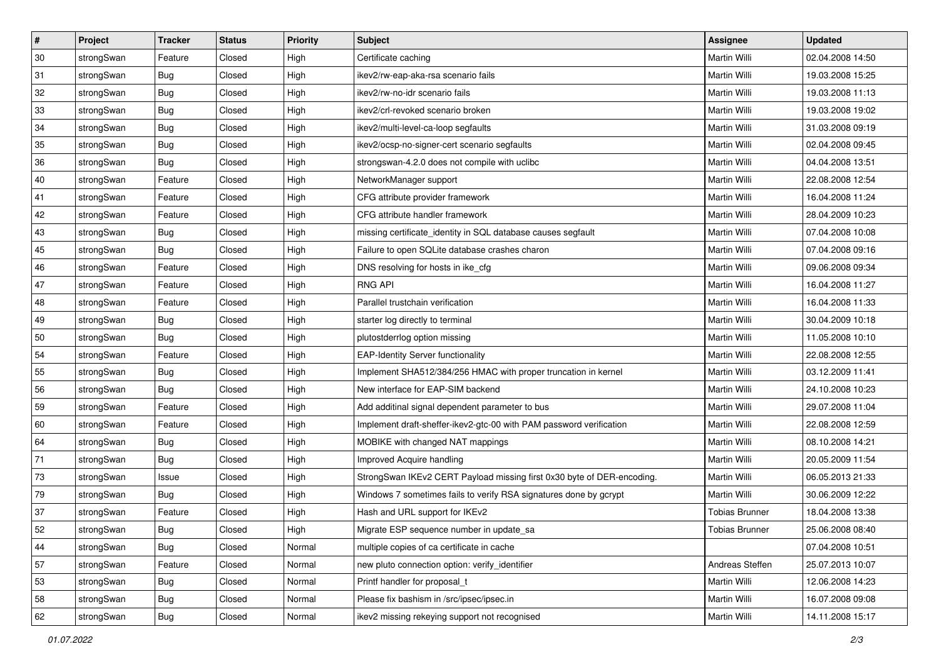| $\vert$ # | Project    | <b>Tracker</b> | <b>Status</b> | <b>Priority</b> | <b>Subject</b>                                                         | Assignee              | <b>Updated</b>   |
|-----------|------------|----------------|---------------|-----------------|------------------------------------------------------------------------|-----------------------|------------------|
| 30        | strongSwan | Feature        | Closed        | High            | Certificate caching                                                    | Martin Willi          | 02.04.2008 14:50 |
| 31        | strongSwan | Bug            | Closed        | High            | ikev2/rw-eap-aka-rsa scenario fails                                    | <b>Martin Willi</b>   | 19.03.2008 15:25 |
| 32        | strongSwan | <b>Bug</b>     | Closed        | High            | ikev2/rw-no-idr scenario fails                                         | Martin Willi          | 19.03.2008 11:13 |
| 33        | strongSwan | <b>Bug</b>     | Closed        | High            | ikev2/crl-revoked scenario broken                                      | Martin Willi          | 19.03.2008 19:02 |
| 34        | strongSwan | Bug            | Closed        | High            | ikev2/multi-level-ca-loop segfaults                                    | Martin Willi          | 31.03.2008 09:19 |
| 35        | strongSwan | <b>Bug</b>     | Closed        | High            | ikev2/ocsp-no-signer-cert scenario segfaults                           | <b>Martin Willi</b>   | 02.04.2008 09:45 |
| 36        | strongSwan | <b>Bug</b>     | Closed        | High            | strongswan-4.2.0 does not compile with uclibc                          | Martin Willi          | 04.04.2008 13:51 |
| 40        | strongSwan | Feature        | Closed        | High            | NetworkManager support                                                 | Martin Willi          | 22.08.2008 12:54 |
| 41        | strongSwan | Feature        | Closed        | High            | CFG attribute provider framework                                       | Martin Willi          | 16.04.2008 11:24 |
| 42        | strongSwan | Feature        | Closed        | High            | CFG attribute handler framework                                        | Martin Willi          | 28.04.2009 10:23 |
| 43        | strongSwan | <b>Bug</b>     | Closed        | High            | missing certificate_identity in SQL database causes segfault           | Martin Willi          | 07.04.2008 10:08 |
| 45        | strongSwan | <b>Bug</b>     | Closed        | High            | Failure to open SQLite database crashes charon                         | Martin Willi          | 07.04.2008 09:16 |
| 46        | strongSwan | Feature        | Closed        | High            | DNS resolving for hosts in ike_cfg                                     | <b>Martin Willi</b>   | 09.06.2008 09:34 |
| 47        | strongSwan | Feature        | Closed        | High            | <b>RNG API</b>                                                         | Martin Willi          | 16.04.2008 11:27 |
| 48        | strongSwan | Feature        | Closed        | High            | Parallel trustchain verification                                       | <b>Martin Willi</b>   | 16.04.2008 11:33 |
| 49        | strongSwan | Bug            | Closed        | High            | starter log directly to terminal                                       | Martin Willi          | 30.04.2009 10:18 |
| 50        | strongSwan | <b>Bug</b>     | Closed        | High            | plutostderrlog option missing                                          | <b>Martin Willi</b>   | 11.05.2008 10:10 |
| 54        | strongSwan | Feature        | Closed        | High            | <b>EAP-Identity Server functionality</b>                               | Martin Willi          | 22.08.2008 12:55 |
| 55        | strongSwan | <b>Bug</b>     | Closed        | High            | Implement SHA512/384/256 HMAC with proper truncation in kernel         | Martin Willi          | 03.12.2009 11:41 |
| 56        | strongSwan | <b>Bug</b>     | Closed        | High            | New interface for EAP-SIM backend                                      | Martin Willi          | 24.10.2008 10:23 |
| 59        | strongSwan | Feature        | Closed        | High            | Add additinal signal dependent parameter to bus                        | Martin Willi          | 29.07.2008 11:04 |
| 60        | strongSwan | Feature        | Closed        | High            | Implement draft-sheffer-ikev2-gtc-00 with PAM password verification    | Martin Willi          | 22.08.2008 12:59 |
| 64        | strongSwan | Bug            | Closed        | High            | MOBIKE with changed NAT mappings                                       | Martin Willi          | 08.10.2008 14:21 |
| 71        | strongSwan | <b>Bug</b>     | Closed        | High            | Improved Acquire handling                                              | Martin Willi          | 20.05.2009 11:54 |
| 73        | strongSwan | Issue          | Closed        | High            | StrongSwan IKEv2 CERT Payload missing first 0x30 byte of DER-encoding. | Martin Willi          | 06.05.2013 21:33 |
| 79        | strongSwan | <b>Bug</b>     | Closed        | High            | Windows 7 sometimes fails to verify RSA signatures done by gcrypt      | Martin Willi          | 30.06.2009 12:22 |
| 37        | strongSwan | Feature        | Closed        | High            | Hash and URL support for IKEv2                                         | <b>Tobias Brunner</b> | 18.04.2008 13:38 |
| 52        | strongSwan | Bug            | Closed        | High            | Migrate ESP sequence number in update_sa                               | Tobias Brunner        | 25.06.2008 08:40 |
| 44        | strongSwan | Bug            | Closed        | Normal          | multiple copies of ca certificate in cache                             |                       | 07.04.2008 10:51 |
| 57        | strongSwan | Feature        | Closed        | Normal          | new pluto connection option: verify identifier                         | Andreas Steffen       | 25.07.2013 10:07 |
| 53        | strongSwan | Bug            | Closed        | Normal          | Printf handler for proposal_t                                          | Martin Willi          | 12.06.2008 14:23 |
| 58        | strongSwan | Bug            | Closed        | Normal          | Please fix bashism in /src/ipsec/ipsec.in                              | Martin Willi          | 16.07.2008 09:08 |
| 62        | strongSwan | <b>Bug</b>     | Closed        | Normal          | ikev2 missing rekeying support not recognised                          | Martin Willi          | 14.11.2008 15:17 |